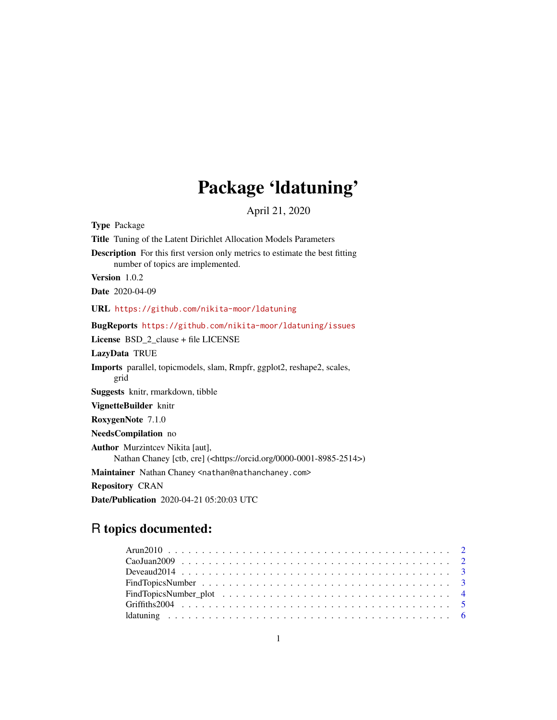## Package 'ldatuning'

April 21, 2020

<span id="page-0-0"></span>

| <b>Type Package</b>                                                                                                         |
|-----------------------------------------------------------------------------------------------------------------------------|
| Title Tuning of the Latent Dirichlet Allocation Models Parameters                                                           |
| <b>Description</b> For this first version only metrics to estimate the best fitting<br>number of topics are implemented.    |
| Version 1.0.2                                                                                                               |
| <b>Date</b> 2020-04-09                                                                                                      |
| URL https://github.com/nikita-moor/ldatuning                                                                                |
| BugReports https://github.com/nikita-moor/ldatuning/issues                                                                  |
| License BSD_2_clause + file LICENSE                                                                                         |
| LazyData TRUE                                                                                                               |
| Imports parallel, topic models, slam, Rmpfr, ggplot2, reshape2, scales,<br>grid                                             |
| Suggests knitr, rmarkdown, tibble                                                                                           |
| VignetteBuilder knitr                                                                                                       |
| RoxygenNote 7.1.0                                                                                                           |
| NeedsCompilation no                                                                                                         |
| <b>Author</b> Murzintcev Nikita [aut],<br>Nathan Chaney [ctb, cre] ( <https: 0000-0001-8985-2514="" orcid.org="">)</https:> |
| Maintainer Nathan Chaney <nathan@nathanchaney.com></nathan@nathanchaney.com>                                                |
| <b>Repository CRAN</b>                                                                                                      |
| <b>Date/Publication</b> 2020-04-21 05:20:03 UTC                                                                             |

## R topics documented: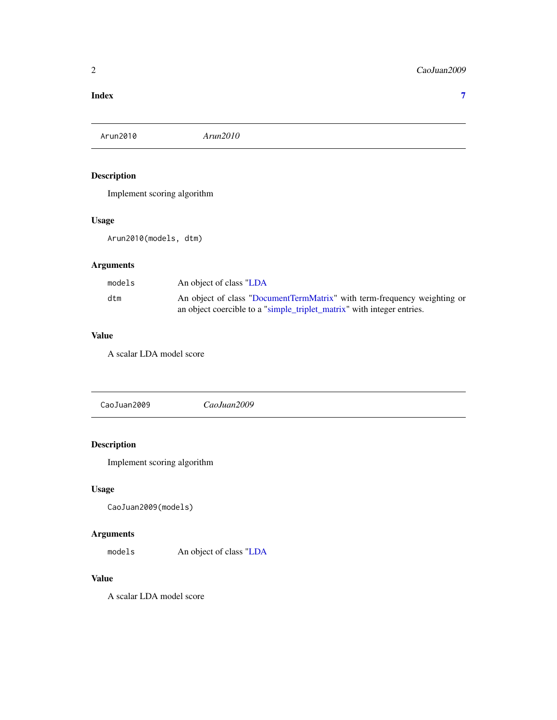#### <span id="page-1-0"></span>**Index** [7](#page-6-0) **7**

Arun2010 *Arun2010*

#### Description

Implement scoring algorithm

#### Usage

Arun2010(models, dtm)

### Arguments

| models | An object of class "LDA                                                  |
|--------|--------------------------------------------------------------------------|
| dtm    | An object of class "DocumentTermMatrix" with term-frequency weighting or |
|        | an object coercible to a "simple_triplet_matrix" with integer entries.   |

#### Value

A scalar LDA model score

CaoJuan2009 *CaoJuan2009*

### Description

Implement scoring algorithm

#### Usage

CaoJuan2009(models)

#### Arguments

models An object of class ["LDA](#page-0-0)

#### Value

A scalar LDA model score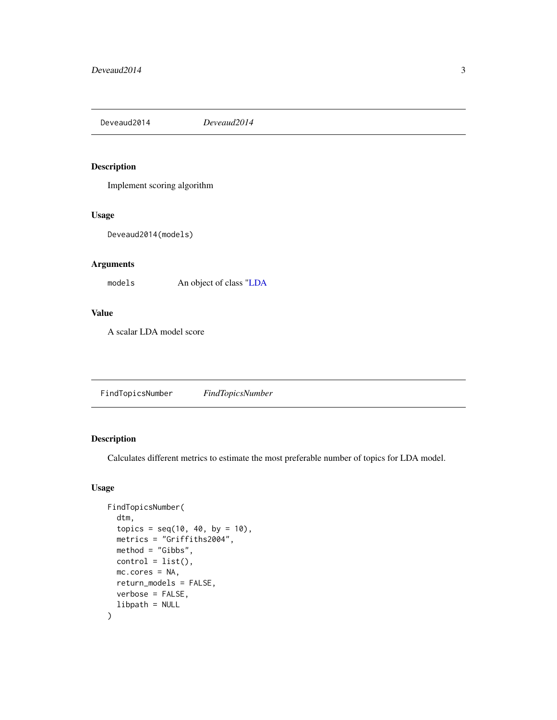<span id="page-2-0"></span>Deveaud2014 *Deveaud2014*

#### Description

Implement scoring algorithm

#### Usage

Deveaud2014(models)

#### Arguments

models An object of class ["LDA](#page-0-0)

#### Value

A scalar LDA model score

<span id="page-2-1"></span>FindTopicsNumber *FindTopicsNumber*

#### Description

Calculates different metrics to estimate the most preferable number of topics for LDA model.

#### Usage

```
FindTopicsNumber(
  dtm,
  topics = seq(10, 40, by = 10),metrics = "Griffiths2004",
 method = "Gibbs",
  control = list(),mc.cores = NA,
  return_models = FALSE,
  verbose = FALSE,
  libpath = NULL
\mathcal{L}
```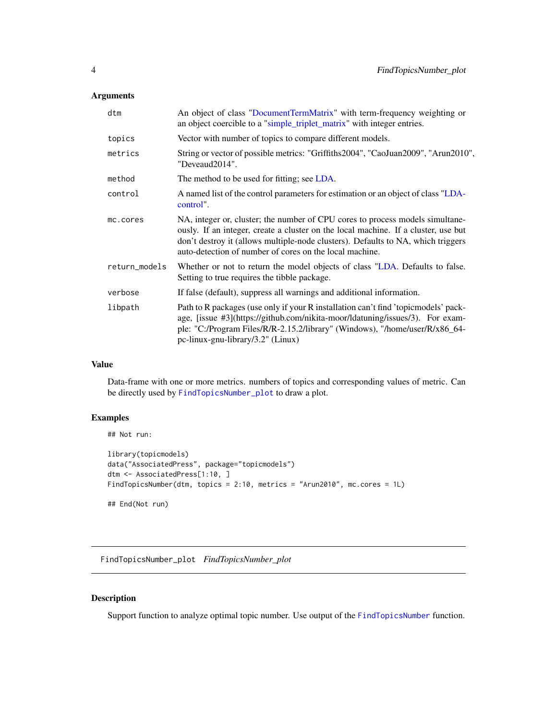#### <span id="page-3-0"></span>Arguments

| dtm           | An object of class "DocumentTermMatrix" with term-frequency weighting or<br>an object coercible to a "simple_triplet_matrix" with integer entries.                                                                                                                                                                 |
|---------------|--------------------------------------------------------------------------------------------------------------------------------------------------------------------------------------------------------------------------------------------------------------------------------------------------------------------|
| topics        | Vector with number of topics to compare different models.                                                                                                                                                                                                                                                          |
| metrics       | String or vector of possible metrics: "Griffiths2004", "CaoJuan2009", "Arun2010",<br>"Deveaud2014".                                                                                                                                                                                                                |
| method        | The method to be used for fitting; see LDA.                                                                                                                                                                                                                                                                        |
| control       | A named list of the control parameters for estimation or an object of class "LDA-<br>control".                                                                                                                                                                                                                     |
| mc.cores      | NA, integer or, cluster; the number of CPU cores to process models simultane-<br>ously. If an integer, create a cluster on the local machine. If a cluster, use but<br>don't destroy it (allows multiple-node clusters). Defaults to NA, which triggers<br>auto-detection of number of cores on the local machine. |
| return_models | Whether or not to return the model objects of class "LDA. Defaults to false.<br>Setting to true requires the tibble package.                                                                                                                                                                                       |
| verbose       | If false (default), suppress all warnings and additional information.                                                                                                                                                                                                                                              |
| libpath       | Path to R packages (use only if your R installation can't find 'topicmodels' pack-<br>age, [issue #3](https://github.com/nikita-moor/ldatuning/issues/3). For exam-<br>ple: "C:/Program Files/R/R-2.15.2/library" (Windows), "/home/user/R/x86_64-<br>pc-linux-gnu-library/3.2" (Linux)                            |

#### Value

Data-frame with one or more metrics. numbers of topics and corresponding values of metric. Can be directly used by [FindTopicsNumber\\_plot](#page-3-1) to draw a plot.

#### Examples

```
## Not run:
library(topicmodels)
data("AssociatedPress", package="topicmodels")
dtm <- AssociatedPress[1:10, ]
FindTopicsNumber(dtm, topics = 2:10, metrics = "Arun2010", mc.cores = 1L)
## End(Not run)
```
<span id="page-3-1"></span>FindTopicsNumber\_plot *FindTopicsNumber\_plot*

#### Description

Support function to analyze optimal topic number. Use output of the [FindTopicsNumber](#page-2-1) function.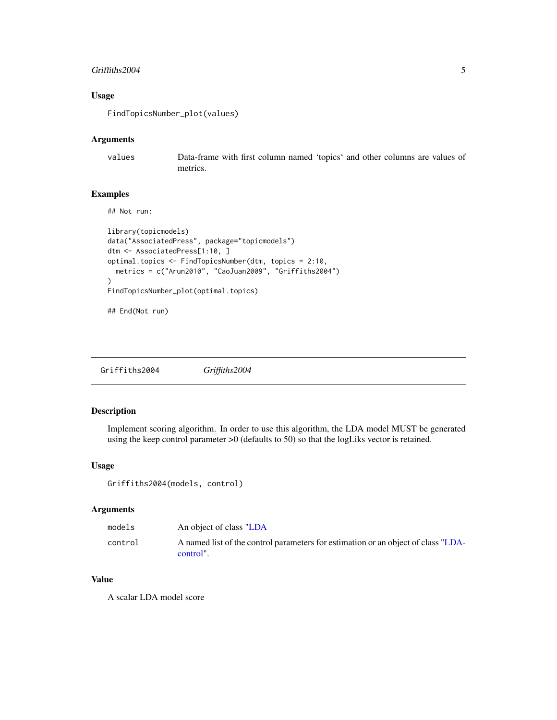#### <span id="page-4-0"></span>Griffiths2004 5

#### Usage

FindTopicsNumber\_plot(values)

#### Arguments

values Data-frame with first column named 'topics' and other columns are values of metrics.

#### Examples

## Not run:

```
library(topicmodels)
data("AssociatedPress", package="topicmodels")
dtm <- AssociatedPress[1:10, ]
optimal.topics <- FindTopicsNumber(dtm, topics = 2:10,
  metrics = c("Arun2010", "CaoJuan2009", "Griffiths2004")
\mathcal{L}FindTopicsNumber_plot(optimal.topics)
```

```
## End(Not run)
```
Griffiths2004 *Griffiths2004*

#### Description

Implement scoring algorithm. In order to use this algorithm, the LDA model MUST be generated using the keep control parameter >0 (defaults to 50) so that the logLiks vector is retained.

#### Usage

Griffiths2004(models, control)

#### Arguments

| models  | An object of class "LDA                                                                        |
|---------|------------------------------------------------------------------------------------------------|
| control | A named list of the control parameters for estimation or an object of class "LDA-<br>control". |

#### Value

A scalar LDA model score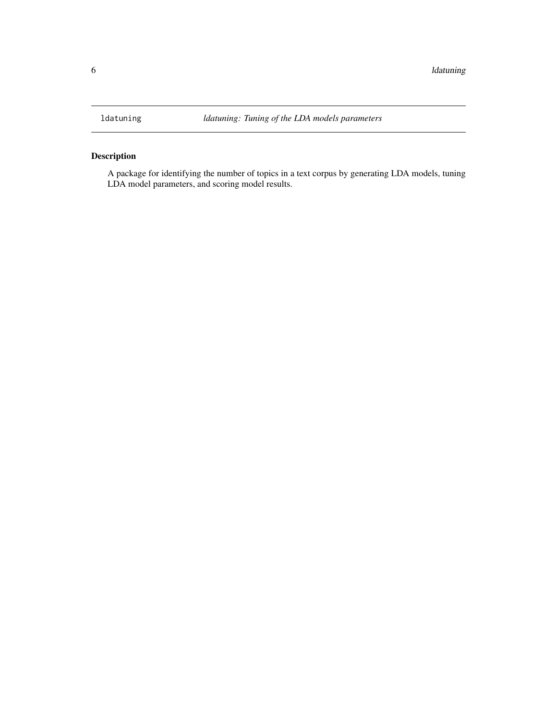<span id="page-5-0"></span>

#### Description

A package for identifying the number of topics in a text corpus by generating LDA models, tuning LDA model parameters, and scoring model results.